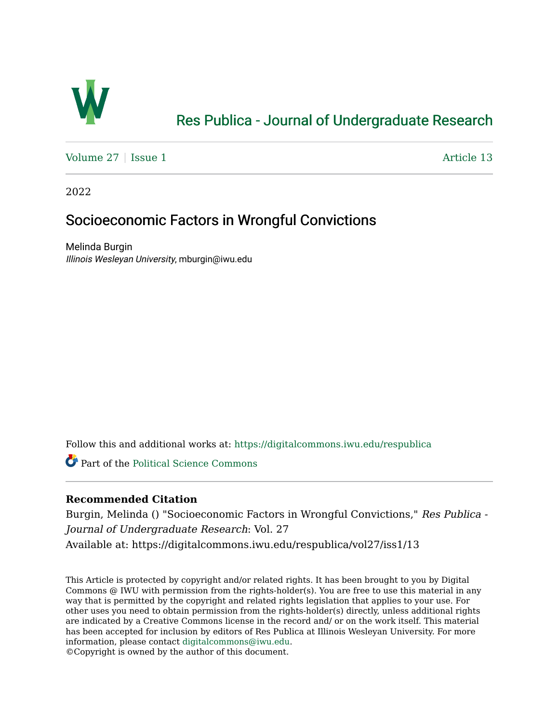

# [Res Publica - Journal of Undergraduate Research](https://digitalcommons.iwu.edu/respublica)

[Volume 27](https://digitalcommons.iwu.edu/respublica/vol27) | [Issue 1](https://digitalcommons.iwu.edu/respublica/vol27/iss1) Article 13

2022

## Socioeconomic Factors in Wrongful Convictions

Melinda Burgin Illinois Wesleyan University, mburgin@iwu.edu

Follow this and additional works at: [https://digitalcommons.iwu.edu/respublica](https://digitalcommons.iwu.edu/respublica?utm_source=digitalcommons.iwu.edu%2Frespublica%2Fvol27%2Fiss1%2F13&utm_medium=PDF&utm_campaign=PDFCoverPages) 

Part of the [Political Science Commons](http://network.bepress.com/hgg/discipline/386?utm_source=digitalcommons.iwu.edu%2Frespublica%2Fvol27%2Fiss1%2F13&utm_medium=PDF&utm_campaign=PDFCoverPages)

## **Recommended Citation**

Burgin, Melinda () "Socioeconomic Factors in Wrongful Convictions," Res Publica - Journal of Undergraduate Research: Vol. 27 Available at: https://digitalcommons.iwu.edu/respublica/vol27/iss1/13

This Article is protected by copyright and/or related rights. It has been brought to you by Digital Commons @ IWU with permission from the rights-holder(s). You are free to use this material in any way that is permitted by the copyright and related rights legislation that applies to your use. For other uses you need to obtain permission from the rights-holder(s) directly, unless additional rights are indicated by a Creative Commons license in the record and/ or on the work itself. This material has been accepted for inclusion by editors of Res Publica at Illinois Wesleyan University. For more information, please contact [digitalcommons@iwu.edu.](mailto:digitalcommons@iwu.edu)

©Copyright is owned by the author of this document.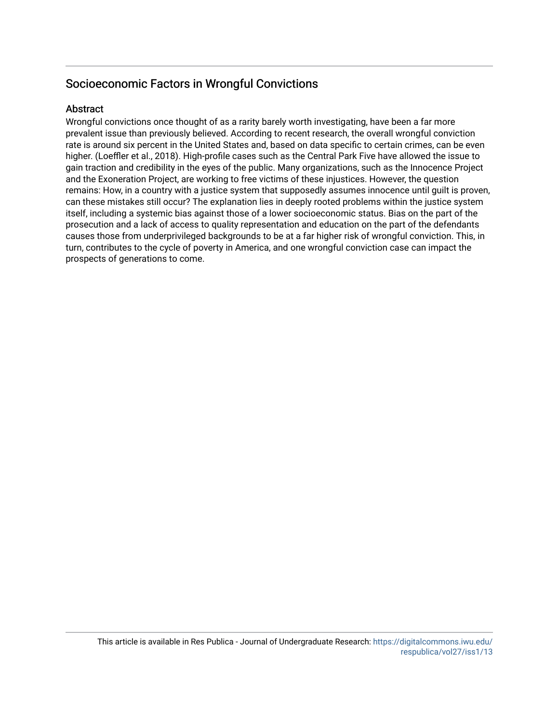## Socioeconomic Factors in Wrongful Convictions

### **Abstract**

Wrongful convictions once thought of as a rarity barely worth investigating, have been a far more prevalent issue than previously believed. According to recent research, the overall wrongful conviction rate is around six percent in the United States and, based on data specific to certain crimes, can be even higher. (Loeffler et al., 2018). High-profile cases such as the Central Park Five have allowed the issue to gain traction and credibility in the eyes of the public. Many organizations, such as the Innocence Project and the Exoneration Project, are working to free victims of these injustices. However, the question remains: How, in a country with a justice system that supposedly assumes innocence until guilt is proven, can these mistakes still occur? The explanation lies in deeply rooted problems within the justice system itself, including a systemic bias against those of a lower socioeconomic status. Bias on the part of the prosecution and a lack of access to quality representation and education on the part of the defendants causes those from underprivileged backgrounds to be at a far higher risk of wrongful conviction. This, in turn, contributes to the cycle of poverty in America, and one wrongful conviction case can impact the prospects of generations to come.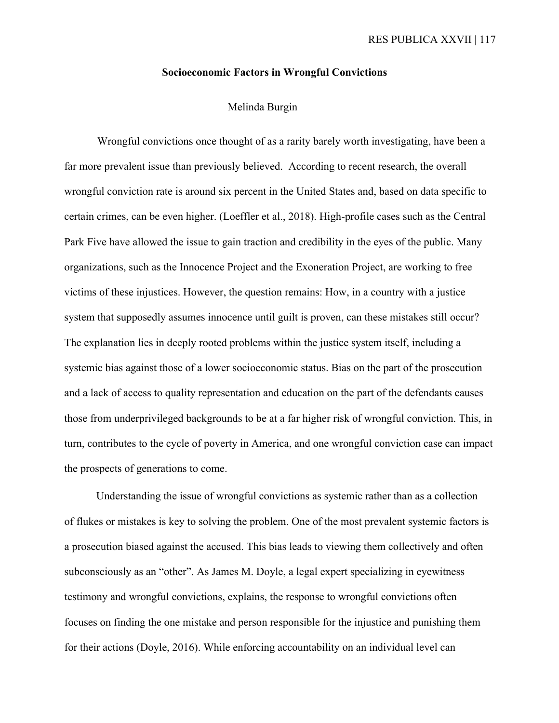#### **Socioeconomic Factors in Wrongful Convictions**

### Melinda Burgin

Wrongful convictions once thought of as a rarity barely worth investigating, have been a far more prevalent issue than previously believed. According to recent research, the overall wrongful conviction rate is around six percent in the United States and, based on data specific to certain crimes, can be even higher. (Loeffler et al., 2018). High-profile cases such as the Central Park Five have allowed the issue to gain traction and credibility in the eyes of the public. Many organizations, such as the Innocence Project and the Exoneration Project, are working to free victims of these injustices. However, the question remains: How, in a country with a justice system that supposedly assumes innocence until guilt is proven, can these mistakes still occur? The explanation lies in deeply rooted problems within the justice system itself, including a systemic bias against those of a lower socioeconomic status. Bias on the part of the prosecution and a lack of access to quality representation and education on the part of the defendants causes those from underprivileged backgrounds to be at a far higher risk of wrongful conviction. This, in turn, contributes to the cycle of poverty in America, and one wrongful conviction case can impact the prospects of generations to come.

Understanding the issue of wrongful convictions as systemic rather than as a collection of flukes or mistakes is key to solving the problem. One of the most prevalent systemic factors is a prosecution biased against the accused. This bias leads to viewing them collectively and often subconsciously as an "other". As James M. Doyle, a legal expert specializing in eyewitness testimony and wrongful convictions, explains, the response to wrongful convictions often focuses on finding the one mistake and person responsible for the injustice and punishing them for their actions (Doyle, 2016). While enforcing accountability on an individual level can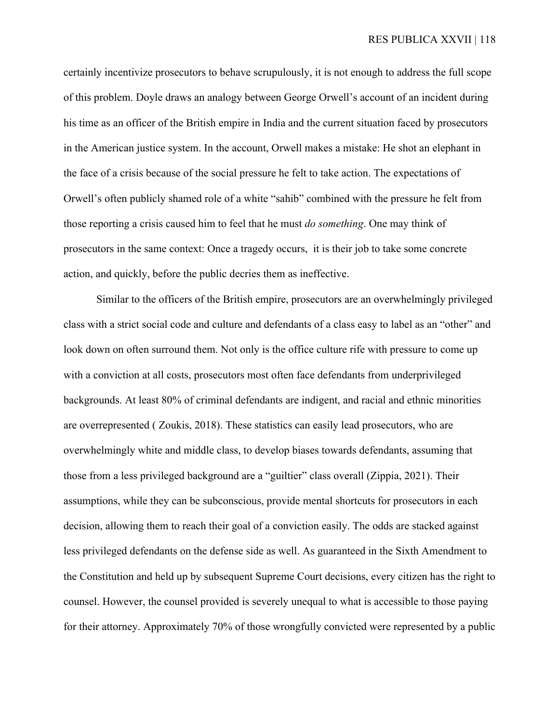certainly incentivize prosecutors to behave scrupulously, it is not enough to address the full scope of this problem. Doyle draws an analogy between George Orwell's account of an incident during his time as an officer of the British empire in India and the current situation faced by prosecutors in the American justice system. In the account, Orwell makes a mistake: He shot an elephant in the face of a crisis because of the social pressure he felt to take action. The expectations of Orwell's often publicly shamed role of a white "sahib" combined with the pressure he felt from those reporting a crisis caused him to feel that he must *do something*. One may think of prosecutors in the same context: Once a tragedy occurs, it is their job to take some concrete action, and quickly, before the public decries them as ineffective.

Similar to the officers of the British empire, prosecutors are an overwhelmingly privileged class with a strict social code and culture and defendants of a class easy to label as an "other" and look down on often surround them. Not only is the office culture rife with pressure to come up with a conviction at all costs, prosecutors most often face defendants from underprivileged backgrounds. At least 80% of criminal defendants are indigent, and racial and ethnic minorities are overrepresented ( Zoukis, 2018). These statistics can easily lead prosecutors, who are overwhelmingly white and middle class, to develop biases towards defendants, assuming that those from a less privileged background are a "guiltier" class overall (Zippia, 2021). Their assumptions, while they can be subconscious, provide mental shortcuts for prosecutors in each decision, allowing them to reach their goal of a conviction easily. The odds are stacked against less privileged defendants on the defense side as well. As guaranteed in the Sixth Amendment to the Constitution and held up by subsequent Supreme Court decisions, every citizen has the right to counsel. However, the counsel provided is severely unequal to what is accessible to those paying for their attorney. Approximately 70% of those wrongfully convicted were represented by a public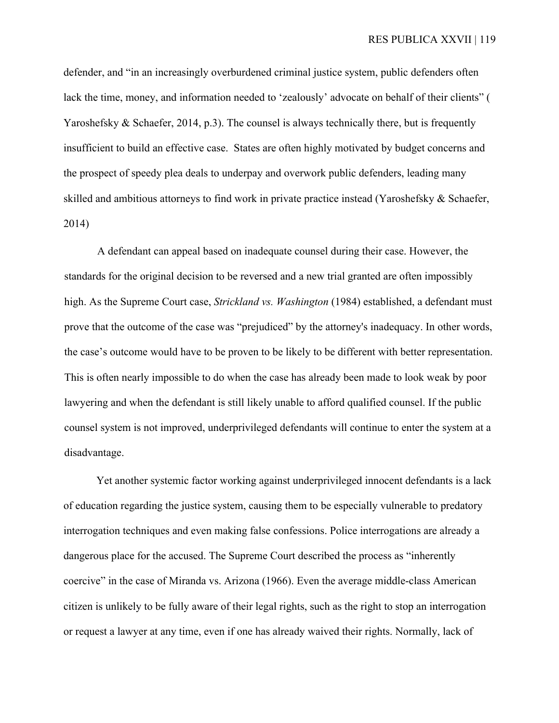defender, and "in an increasingly overburdened criminal justice system, public defenders often lack the time, money, and information needed to 'zealously' advocate on behalf of their clients" ( Yaroshefsky & Schaefer, 2014, p.3). The counsel is always technically there, but is frequently insufficient to build an effective case. States are often highly motivated by budget concerns and the prospect of speedy plea deals to underpay and overwork public defenders, leading many skilled and ambitious attorneys to find work in private practice instead (Yaroshefsky & Schaefer, 2014)

A defendant can appeal based on inadequate counsel during their case. However, the standards for the original decision to be reversed and a new trial granted are often impossibly high. As the Supreme Court case, *Strickland vs. Washington* (1984) established, a defendant must prove that the outcome of the case was "prejudiced" by the attorney's inadequacy. In other words, the case's outcome would have to be proven to be likely to be different with better representation. This is often nearly impossible to do when the case has already been made to look weak by poor lawyering and when the defendant is still likely unable to afford qualified counsel. If the public counsel system is not improved, underprivileged defendants will continue to enter the system at a disadvantage.

Yet another systemic factor working against underprivileged innocent defendants is a lack of education regarding the justice system, causing them to be especially vulnerable to predatory interrogation techniques and even making false confessions. Police interrogations are already a dangerous place for the accused. The Supreme Court described the process as "inherently coercive" in the case of Miranda vs. Arizona (1966). Even the average middle-class American citizen is unlikely to be fully aware of their legal rights, such as the right to stop an interrogation or request a lawyer at any time, even if one has already waived their rights. Normally, lack of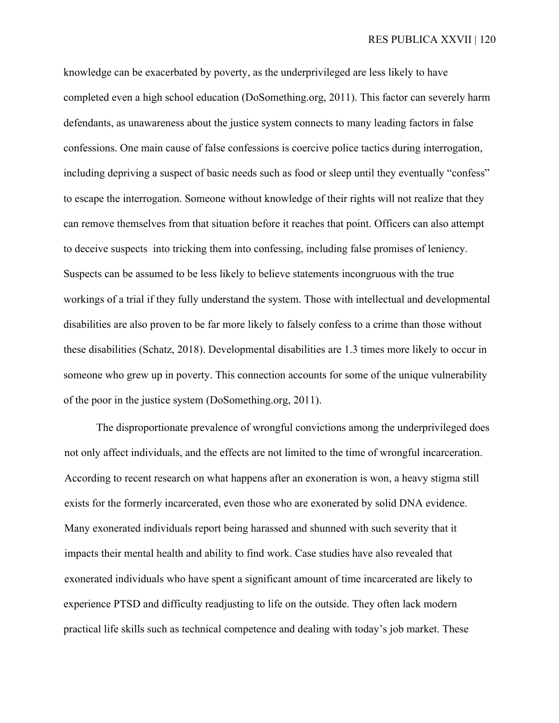knowledge can be exacerbated by poverty, as the underprivileged are less likely to have completed even a high school education (DoSomething.org, 2011). This factor can severely harm defendants, as unawareness about the justice system connects to many leading factors in false confessions. One main cause of false confessions is coercive police tactics during interrogation, including depriving a suspect of basic needs such as food or sleep until they eventually "confess" to escape the interrogation. Someone without knowledge of their rights will not realize that they can remove themselves from that situation before it reaches that point. Officers can also attempt to deceive suspects into tricking them into confessing, including false promises of leniency. Suspects can be assumed to be less likely to believe statements incongruous with the true workings of a trial if they fully understand the system. Those with intellectual and developmental disabilities are also proven to be far more likely to falsely confess to a crime than those without these disabilities (Schatz, 2018). Developmental disabilities are 1.3 times more likely to occur in someone who grew up in poverty. This connection accounts for some of the unique vulnerability of the poor in the justice system (DoSomething.org, 2011).

The disproportionate prevalence of wrongful convictions among the underprivileged does not only affect individuals, and the effects are not limited to the time of wrongful incarceration. According to recent research on what happens after an exoneration is won, a heavy stigma still exists for the formerly incarcerated, even those who are exonerated by solid DNA evidence. Many exonerated individuals report being harassed and shunned with such severity that it impacts their mental health and ability to find work. Case studies have also revealed that exonerated individuals who have spent a significant amount of time incarcerated are likely to experience PTSD and difficulty readjusting to life on the outside. They often lack modern practical life skills such as technical competence and dealing with today's job market. These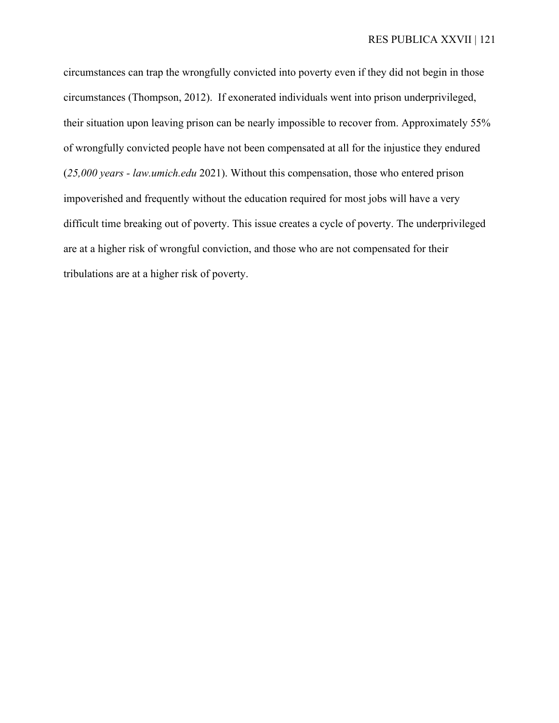circumstances can trap the wrongfully convicted into poverty even if they did not begin in those circumstances (Thompson, 2012). If exonerated individuals went into prison underprivileged, their situation upon leaving prison can be nearly impossible to recover from. Approximately 55% of wrongfully convicted people have not been compensated at all for the injustice they endured (*25,000 years - law.umich.edu* 2021). Without this compensation, those who entered prison impoverished and frequently without the education required for most jobs will have a very difficult time breaking out of poverty. This issue creates a cycle of poverty. The underprivileged are at a higher risk of wrongful conviction, and those who are not compensated for their tribulations are at a higher risk of poverty.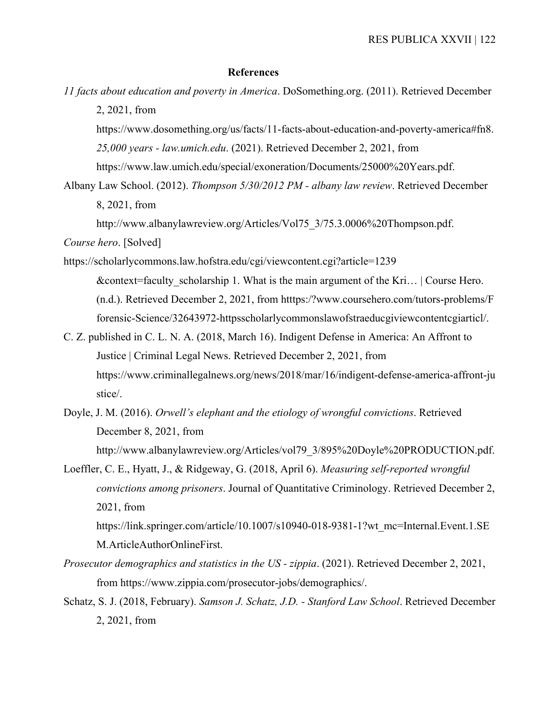#### **References**

*11 facts about education and poverty in America*. DoSomething.org. (2011). Retrieved December 2, 2021, from

https://www.dosomething.org/us/facts/11-facts-about-education-and-poverty-america#fn8. *25,000 years - law.umich.edu*. (2021). Retrieved December 2, 2021, from

https://www.law.umich.edu/special/exoneration/Documents/25000%20Years.pdf.

Albany Law School. (2012). *Thompson 5/30/2012 PM - albany law review*. Retrieved December 8, 2021, from

http://www.albanylawreview.org/Articles/Vol75\_3/75.3.0006%20Thompson.pdf.

*Course hero*. [Solved]

- https://scholarlycommons.law.hofstra.edu/cgi/viewcontent.cgi?article=1239 & context=faculty scholarship 1. What is the main argument of the Kri…  $\vert$  Course Hero. (n.d.). Retrieved December 2, 2021, from htttps:/?www.coursehero.com/tutors-problems/F forensic-Science/32643972-httpsscholarlycommonslawofstraeducgiviewcontentcgiarticl/.
- C. Z. published in C. L. N. A. (2018, March 16). Indigent Defense in America: An Affront to Justice | Criminal Legal News. Retrieved December 2, 2021, from https://www.criminallegalnews.org/news/2018/mar/16/indigent-defense-america-affront-ju stice/.
- Doyle, J. M. (2016). *Orwell's elephant and the etiology of wrongful convictions*. Retrieved December 8, 2021, from http://www.albanylawreview.org/Articles/vol79\_3/895%20Doyle%20PRODUCTION.pdf.

Loeffler, C. E., Hyatt, J., & Ridgeway, G. (2018, April 6). *Measuring self-reported wrongful convictions among prisoners*. Journal of Quantitative Criminology. Retrieved December 2, 2021, from

https://link.springer.com/article/10.1007/s10940-018-9381-1?wt\_mc=Internal.Event.1.SE M.ArticleAuthorOnlineFirst.

- *Prosecutor demographics and statistics in the US - zippia*. (2021). Retrieved December 2, 2021, from https://www.zippia.com/prosecutor-jobs/demographics/.
- Schatz, S. J. (2018, February). *Samson J. Schatz, J.D. - Stanford Law School*. Retrieved December 2, 2021, from